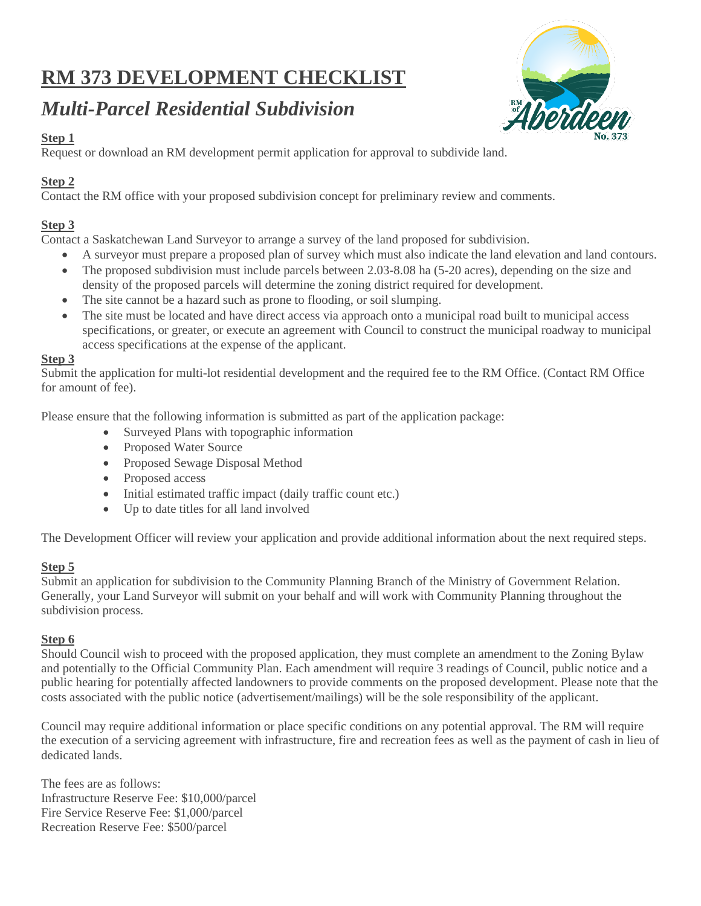# **RM 373 DEVELOPMENT CHECKLIST**

## *Multi-Parcel Residential Subdivision*



### **Step 1**

Request or download an RM development permit application for approval to subdivide land.

## **Step 2**

Contact the RM office with your proposed subdivision concept for preliminary review and comments.

## **Step 3**

Contact a Saskatchewan Land Surveyor to arrange a survey of the land proposed for subdivision.

- A surveyor must prepare a proposed plan of survey which must also indicate the land elevation and land contours.
- The proposed subdivision must include parcels between 2.03-8.08 ha (5-20 acres), depending on the size and density of the proposed parcels will determine the zoning district required for development.
- The site cannot be a hazard such as prone to flooding, or soil slumping.
- The site must be located and have direct access via approach onto a municipal road built to municipal access specifications, or greater, or execute an agreement with Council to construct the municipal roadway to municipal access specifications at the expense of the applicant.

#### **Step 3**

Submit the application for multi-lot residential development and the required fee to the RM Office. (Contact RM Office for amount of fee).

Please ensure that the following information is submitted as part of the application package:

- Surveyed Plans with topographic information
- Proposed Water Source
- Proposed Sewage Disposal Method
- Proposed access
- Initial estimated traffic impact (daily traffic count etc.)
- Up to date titles for all land involved

The Development Officer will review your application and provide additional information about the next required steps.

#### **Step 5**

Submit an application for subdivision to the Community Planning Branch of the Ministry of Government Relation. Generally, your Land Surveyor will submit on your behalf and will work with Community Planning throughout the subdivision process.

#### **Step 6**

Should Council wish to proceed with the proposed application, they must complete an amendment to the Zoning Bylaw and potentially to the Official Community Plan. Each amendment will require 3 readings of Council, public notice and a public hearing for potentially affected landowners to provide comments on the proposed development. Please note that the costs associated with the public notice (advertisement/mailings) will be the sole responsibility of the applicant.

Council may require additional information or place specific conditions on any potential approval. The RM will require the execution of a servicing agreement with infrastructure, fire and recreation fees as well as the payment of cash in lieu of dedicated lands.

The fees are as follows: Infrastructure Reserve Fee: \$10,000/parcel Fire Service Reserve Fee: \$1,000/parcel Recreation Reserve Fee: \$500/parcel